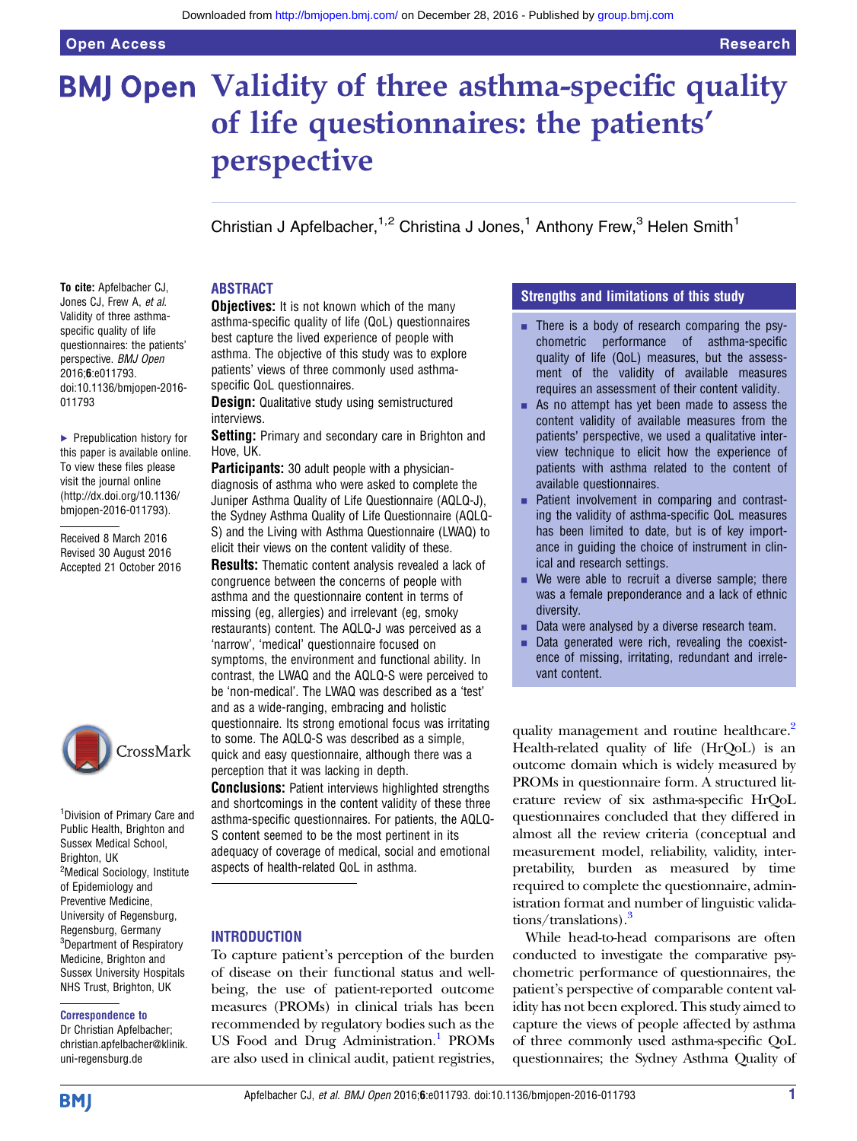# BMJ Open Validity of three asthma-specific quality of life questionnaires: the patients' perspective

Christian J Apfelbacher,  $1,2$  Christina J Jones,  $1$  Anthony Frew,  $3$  Helen Smith  $1$ 

# ABSTRACT

To cite: Apfelbacher CJ, Jones CJ, Frew A, et al. Validity of three asthmaspecific quality of life questionnaires: the patients' perspective. BMJ Open 2016;6:e011793. doi:10.1136/bmjopen-2016- 011793

▶ Prepublication history for this paper is available online. To view these files please visit the journal online [\(http://dx.doi.org/10.1136/](http://dx.doi.org/10.1136/bmjopen-2016-011793) [bmjopen-2016-011793](http://dx.doi.org/10.1136/bmjopen-2016-011793)).

Received 8 March 2016 Revised 30 August 2016 Accepted 21 October 2016



<sup>1</sup> Division of Primary Care and Public Health, Brighton and Sussex Medical School, Brighton, UK <sup>2</sup>Medical Sociology, Institute of Epidemiology and Preventive Medicine, University of Regensburg, Regensburg, Germany <sup>3</sup>Department of Respiratory Medicine, Brighton and Sussex University Hospitals NHS Trust, Brighton, UK

#### Correspondence to

Dr Christian Apfelbacher; christian.apfelbacher@klinik. uni-regensburg.de

**Objectives:** It is not known which of the many asthma-specific quality of life (QoL) questionnaires best capture the lived experience of people with asthma. The objective of this study was to explore patients' views of three commonly used asthmaspecific QoL questionnaires.

**Design:** Qualitative study using semistructured interviews.

Setting: Primary and secondary care in Brighton and Hove, UK.

Participants: 30 adult people with a physiciandiagnosis of asthma who were asked to complete the Juniper Asthma Quality of Life Questionnaire (AQLQ-J), the Sydney Asthma Quality of Life Questionnaire (AQLQ-S) and the Living with Asthma Questionnaire (LWAQ) to elicit their views on the content validity of these.

**Results:** Thematic content analysis revealed a lack of congruence between the concerns of people with asthma and the questionnaire content in terms of missing (eg, allergies) and irrelevant (eg, smoky restaurants) content. The AQLQ-J was perceived as a 'narrow', 'medical' questionnaire focused on symptoms, the environment and functional ability. In contrast, the LWAQ and the AQLQ-S were perceived to be 'non-medical'. The LWAQ was described as a 'test' and as a wide-ranging, embracing and holistic questionnaire. Its strong emotional focus was irritating to some. The AQLQ-S was described as a simple, quick and easy questionnaire, although there was a perception that it was lacking in depth.

**Conclusions:** Patient interviews highlighted strengths and shortcomings in the content validity of these three asthma-specific questionnaires. For patients, the AQLQ-S content seemed to be the most pertinent in its adequacy of coverage of medical, social and emotional aspects of health-related QoL in asthma.

#### **INTRODUCTION**

To capture patient's perception of the burden of disease on their functional status and wellbeing, the use of patient-reported outcome measures (PROMs) in clinical trials has been recommended by regulatory bodies such as the US Food and Drug Administration.<sup>1</sup> PROMs are also used in clinical audit, patient registries,

# Strengths and limitations of this study

- $\blacksquare$  There is a body of research comparing the psychometric performance of asthma-specific quality of life (QoL) measures, but the assessment of the validity of available measures requires an assessment of their content validity.
- As no attempt has yet been made to assess the content validity of available measures from the patients' perspective, we used a qualitative interview technique to elicit how the experience of patients with asthma related to the content of available questionnaires.
- **EXECUTE:** Patient involvement in comparing and contrasting the validity of asthma-specific QoL measures has been limited to date, but is of key importance in guiding the choice of instrument in clinical and research settings.
- $\blacksquare$  We were able to recruit a diverse sample; there was a female preponderance and a lack of ethnic diversity.
- $\blacksquare$  Data were analysed by a diverse research team.
- $\blacksquare$  Data generated were rich, revealing the coexistence of missing, irritating, redundant and irrelevant content.

quality management and routine healthcare.<sup>2</sup> Health-related quality of life (HrQoL) is an outcome domain which is widely measured by PROMs in questionnaire form. A structured literature review of six asthma-specific HrQoL questionnaires concluded that they differed in almost all the review criteria (conceptual and measurement model, reliability, validity, interpretability, burden as measured by time required to complete the questionnaire, administration format and number of linguistic validations/translations).<sup>3</sup>

While head-to-head comparisons are often conducted to investigate the comparative psychometric performance of questionnaires, the patient's perspective of comparable content validity has not been explored. This study aimed to capture the views of people affected by asthma of three commonly used asthma-specific QoL questionnaires; the Sydney Asthma Quality of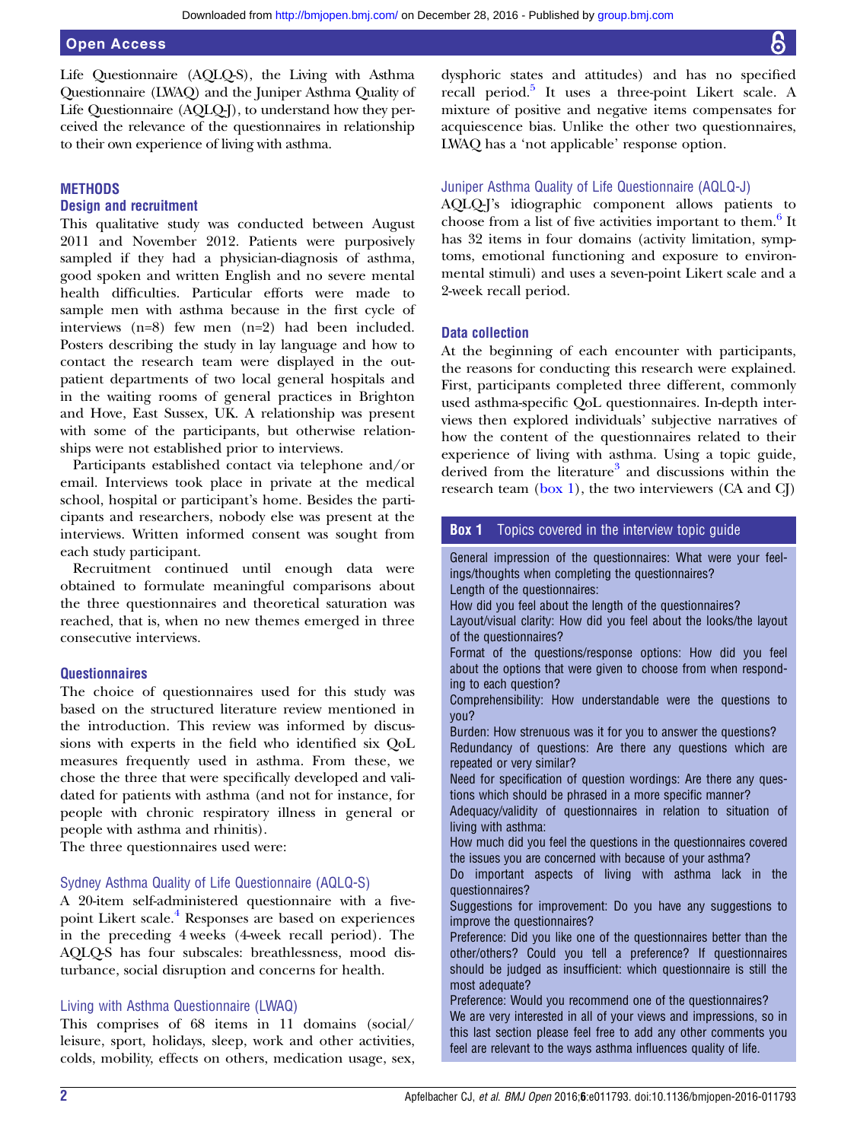Life Questionnaire (AQLQ-S), the Living with Asthma Questionnaire (LWAQ) and the Juniper Asthma Quality of Life Questionnaire (AQLQ-J), to understand how they perceived the relevance of the questionnaires in relationship to their own experience of living with asthma.

#### **METHODS**

# Design and recruitment

This qualitative study was conducted between August 2011 and November 2012. Patients were purposively sampled if they had a physician-diagnosis of asthma, good spoken and written English and no severe mental health difficulties. Particular efforts were made to sample men with asthma because in the first cycle of interviews (n=8) few men (n=2) had been included. Posters describing the study in lay language and how to contact the research team were displayed in the outpatient departments of two local general hospitals and in the waiting rooms of general practices in Brighton and Hove, East Sussex, UK. A relationship was present with some of the participants, but otherwise relationships were not established prior to interviews.

Participants established contact via telephone and/or email. Interviews took place in private at the medical school, hospital or participant's home. Besides the participants and researchers, nobody else was present at the interviews. Written informed consent was sought from each study participant.

Recruitment continued until enough data were obtained to formulate meaningful comparisons about the three questionnaires and theoretical saturation was reached, that is, when no new themes emerged in three consecutive interviews.

# **Questionnaires**

The choice of questionnaires used for this study was based on the structured literature review mentioned in the introduction. This review was informed by discussions with experts in the field who identified six QoL measures frequently used in asthma. From these, we chose the three that were specifically developed and validated for patients with asthma (and not for instance, for people with chronic respiratory illness in general or people with asthma and rhinitis).

The three questionnaires used were:

# Sydney Asthma Quality of Life Questionnaire (AQLQ-S)

A 20-item self-administered questionnaire with a fivepoint Likert scale.<sup>4</sup> Responses are based on experiences in the preceding 4 weeks (4-week recall period). The AQLQ-S has four subscales: breathlessness, mood disturbance, social disruption and concerns for health.

# Living with Asthma Questionnaire (LWAQ)

This comprises of 68 items in 11 domains (social/ leisure, sport, holidays, sleep, work and other activities, colds, mobility, effects on others, medication usage, sex, dysphoric states and attitudes) and has no specified recall period.<sup>[5](#page-7-0)</sup> It uses a three-point Likert scale. A mixture of positive and negative items compensates for acquiescence bias. Unlike the other two questionnaires, LWAQ has a 'not applicable' response option.

# Juniper Asthma Quality of Life Questionnaire (AQLQ-J)

AQLQ-J's idiographic component allows patients to choose from a list of five activities important to them.<sup>[6](#page-7-0)</sup> It has 32 items in four domains (activity limitation, symptoms, emotional functioning and exposure to environmental stimuli) and uses a seven-point Likert scale and a 2-week recall period.

# Data collection

At the beginning of each encounter with participants, the reasons for conducting this research were explained. First, participants completed three different, commonly used asthma-specific QoL questionnaires. In-depth interviews then explored individuals' subjective narratives of how the content of the questionnaires related to their experience of living with asthma. Using a topic guide, derived from the literature<sup>3</sup> and discussions within the research team (box 1), the two interviewers (CA and CJ)

# **Box 1** Topics covered in the interview topic guide General impression of the questionnaires: What were your feelings/thoughts when completing the questionnaires? Length of the questionnaires: How did you feel about the length of the questionnaires? Layout/visual clarity: How did you feel about the looks/the layout of the questionnaires? Format of the questions/response options: How did you feel about the options that were given to choose from when responding to each question? Comprehensibility: How understandable were the questions to you? Burden: How strenuous was it for you to answer the questions? Redundancy of questions: Are there any questions which are repeated or very similar? Need for specification of question wordings: Are there any questions which should be phrased in a more specific manner? Adequacy/validity of questionnaires in relation to situation of living with asthma: How much did you feel the questions in the questionnaires covered the issues you are concerned with because of your asthma? Do important aspects of living with asthma lack in the questionnaires? Suggestions for improvement: Do you have any suggestions to improve the questionnaires? Preference: Did you like one of the questionnaires better than the other/others? Could you tell a preference? If questionnaires should be judged as insufficient: which questionnaire is still the most adequate? Preference: Would you recommend one of the questionnaires? We are very interested in all of your views and impressions, so in this last section please feel free to add any other comments you feel are relevant to the ways asthma influences quality of life.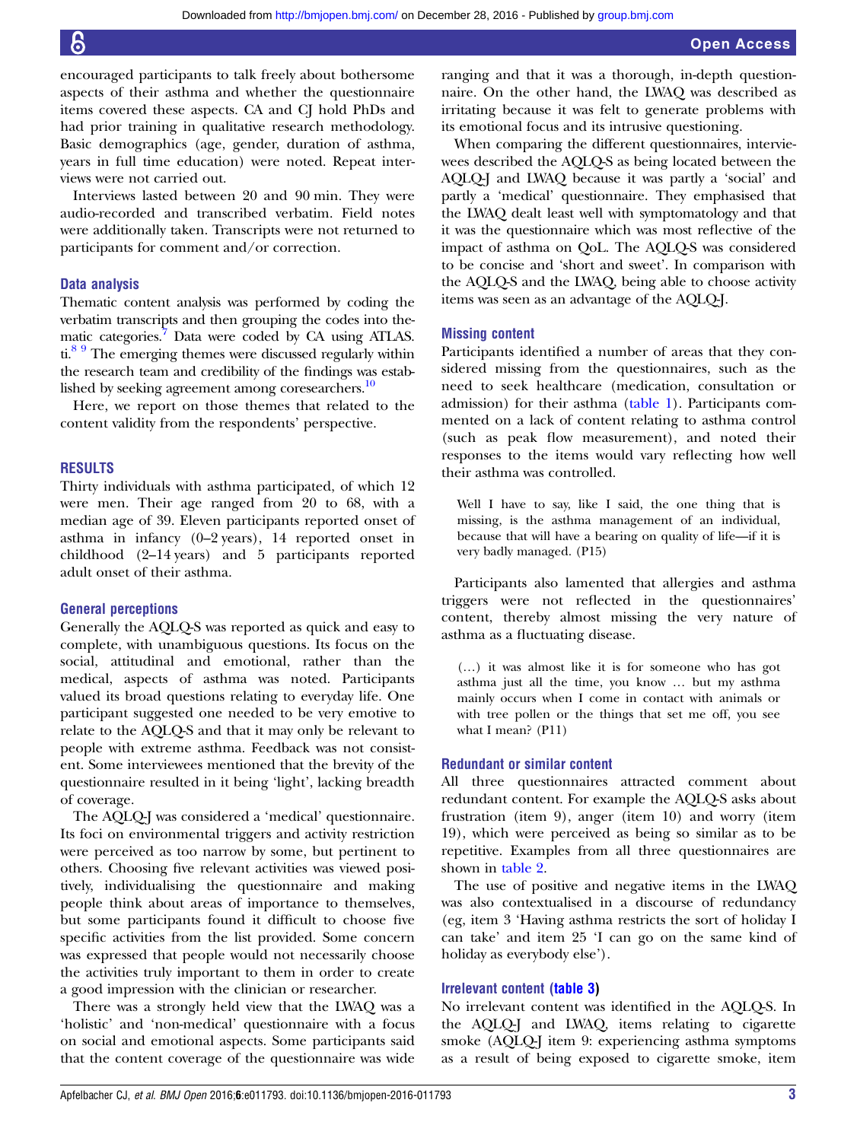encouraged participants to talk freely about bothersome aspects of their asthma and whether the questionnaire items covered these aspects. CA and CJ hold PhDs and had prior training in qualitative research methodology. Basic demographics (age, gender, duration of asthma, years in full time education) were noted. Repeat interviews were not carried out.

Interviews lasted between 20 and 90 min. They were audio-recorded and transcribed verbatim. Field notes were additionally taken. Transcripts were not returned to participants for comment and/or correction.

#### Data analysis

Thematic content analysis was performed by coding the verbatim transcripts and then grouping the codes into the-matic categories.<sup>[7](#page-7-0)</sup> Data were coded by CA using ATLAS. ti.<sup>[8 9](#page-7-0)</sup> The emerging themes were discussed regularly within the research team and credibility of the findings was estab-lished by seeking agreement among coresearchers.<sup>[10](#page-7-0)</sup>

Here, we report on those themes that related to the content validity from the respondents' perspective.

## RESULTS

Thirty individuals with asthma participated, of which 12 were men. Their age ranged from 20 to 68, with a median age of 39. Eleven participants reported onset of asthma in infancy (0–2 years), 14 reported onset in childhood (2–14 years) and 5 participants reported adult onset of their asthma.

#### General perceptions

Generally the AQLQ-S was reported as quick and easy to complete, with unambiguous questions. Its focus on the social, attitudinal and emotional, rather than the medical, aspects of asthma was noted. Participants valued its broad questions relating to everyday life. One participant suggested one needed to be very emotive to relate to the AQLQ-S and that it may only be relevant to people with extreme asthma. Feedback was not consistent. Some interviewees mentioned that the brevity of the questionnaire resulted in it being 'light', lacking breadth of coverage.

The AQLQ-J was considered a 'medical' questionnaire. Its foci on environmental triggers and activity restriction were perceived as too narrow by some, but pertinent to others. Choosing five relevant activities was viewed positively, individualising the questionnaire and making people think about areas of importance to themselves, but some participants found it difficult to choose five specific activities from the list provided. Some concern was expressed that people would not necessarily choose the activities truly important to them in order to create a good impression with the clinician or researcher.

There was a strongly held view that the LWAQ was a 'holistic' and 'non-medical' questionnaire with a focus on social and emotional aspects. Some participants said that the content coverage of the questionnaire was wide

ranging and that it was a thorough, in-depth questionnaire. On the other hand, the LWAQ was described as irritating because it was felt to generate problems with its emotional focus and its intrusive questioning.

When comparing the different questionnaires, interviewees described the AQLQ-S as being located between the AQLQ-J and LWAQ because it was partly a 'social' and partly a 'medical' questionnaire. They emphasised that the LWAQ dealt least well with symptomatology and that it was the questionnaire which was most reflective of the impact of asthma on QoL. The AQLQ-S was considered to be concise and 'short and sweet'. In comparison with the AQLQ-S and the LWAQ, being able to choose activity items was seen as an advantage of the AQLQ-J.

#### Missing content

Participants identified a number of areas that they considered missing from the questionnaires, such as the need to seek healthcare (medication, consultation or admission) for their asthma [\(table 1](#page-3-0)). Participants commented on a lack of content relating to asthma control (such as peak flow measurement), and noted their responses to the items would vary reflecting how well their asthma was controlled.

Well I have to say, like I said, the one thing that is missing, is the asthma management of an individual, because that will have a bearing on quality of life—if it is very badly managed. (P15)

Participants also lamented that allergies and asthma triggers were not reflected in the questionnaires' content, thereby almost missing the very nature of asthma as a fluctuating disease.

(…) it was almost like it is for someone who has got asthma just all the time, you know … but my asthma mainly occurs when I come in contact with animals or with tree pollen or the things that set me off, you see what I mean? (P11)

#### Redundant or similar content

All three questionnaires attracted comment about redundant content. For example the AQLQ-S asks about frustration (item 9), anger (item 10) and worry (item 19), which were perceived as being so similar as to be repetitive. Examples from all three questionnaires are shown in [table 2.](#page-4-0)

The use of positive and negative items in the LWAQ was also contextualised in a discourse of redundancy (eg, item 3 'Having asthma restricts the sort of holiday I can take' and item 25 'I can go on the same kind of holiday as everybody else').

#### Irrelevant content [\(table 3\)](#page-5-0)

No irrelevant content was identified in the AQLQ-S. In the AQLQ-J and LWAQ, items relating to cigarette smoke (AQLQ-J item 9: experiencing asthma symptoms as a result of being exposed to cigarette smoke, item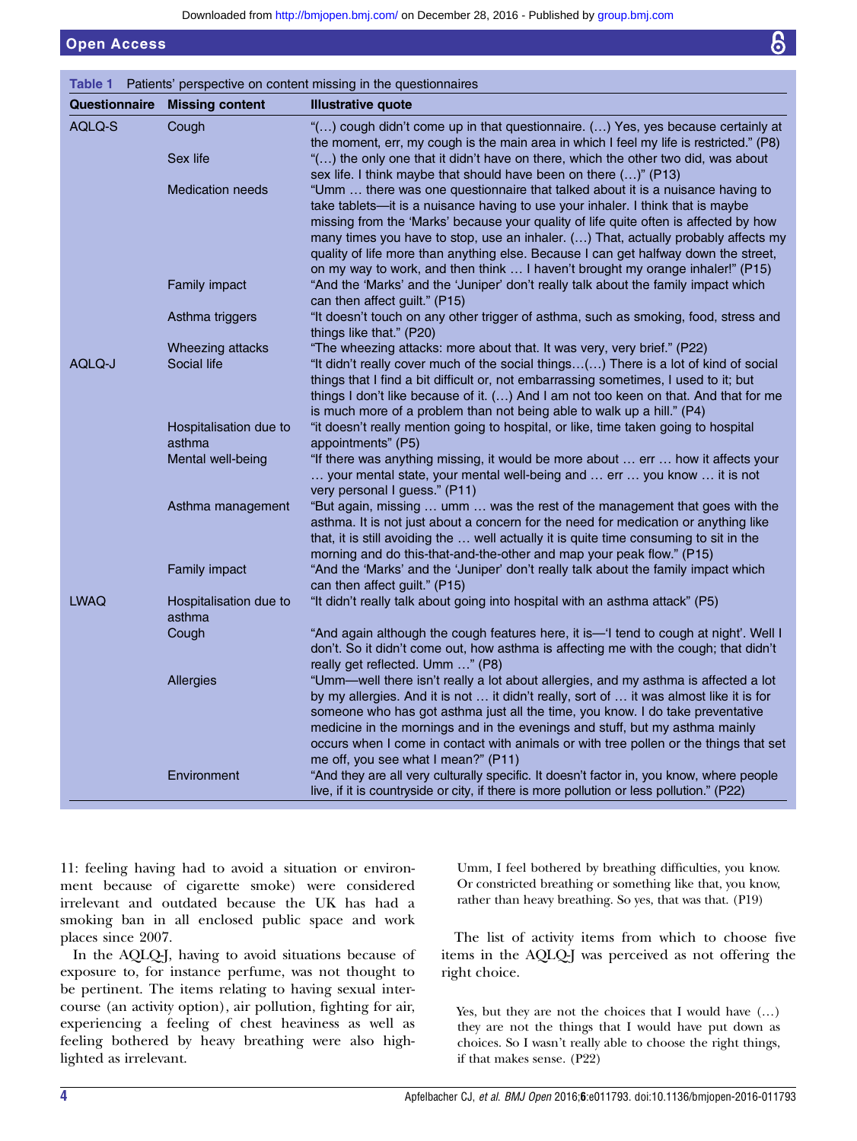<span id="page-3-0"></span>Open Access

| Table 1 Patients' perspective on content missing in the questionnaires |                                  |                                                                                                                                                                                                                                                                                                                                                                                                                                                                                                                          |  |  |  |
|------------------------------------------------------------------------|----------------------------------|--------------------------------------------------------------------------------------------------------------------------------------------------------------------------------------------------------------------------------------------------------------------------------------------------------------------------------------------------------------------------------------------------------------------------------------------------------------------------------------------------------------------------|--|--|--|
| Questionnaire                                                          | <b>Missing content</b>           | <b>Illustrative quote</b>                                                                                                                                                                                                                                                                                                                                                                                                                                                                                                |  |  |  |
| AQLQ-S                                                                 | Cough                            | "() cough didn't come up in that questionnaire. () Yes, yes because certainly at<br>the moment, err, my cough is the main area in which I feel my life is restricted." (P8)                                                                                                                                                                                                                                                                                                                                              |  |  |  |
|                                                                        | Sex life                         | "() the only one that it didn't have on there, which the other two did, was about<br>sex life. I think maybe that should have been on there ()" (P13)                                                                                                                                                                                                                                                                                                                                                                    |  |  |  |
|                                                                        | <b>Medication needs</b>          | "Umm  there was one questionnaire that talked about it is a nuisance having to<br>take tablets-it is a nuisance having to use your inhaler. I think that is maybe<br>missing from the 'Marks' because your quality of life quite often is affected by how<br>many times you have to stop, use an inhaler. () That, actually probably affects my<br>quality of life more than anything else. Because I can get halfway down the street,<br>on my way to work, and then think  I haven't brought my orange inhaler!" (P15) |  |  |  |
|                                                                        | Family impact                    | "And the 'Marks' and the 'Juniper' don't really talk about the family impact which<br>can then affect guilt." (P15)                                                                                                                                                                                                                                                                                                                                                                                                      |  |  |  |
|                                                                        | Asthma triggers                  | "It doesn't touch on any other trigger of asthma, such as smoking, food, stress and<br>things like that." (P20)                                                                                                                                                                                                                                                                                                                                                                                                          |  |  |  |
| AQLQ-J                                                                 | Wheezing attacks<br>Social life  | "The wheezing attacks: more about that. It was very, very brief." (P22)<br>"It didn't really cover much of the social things() There is a lot of kind of social<br>things that I find a bit difficult or, not embarrassing sometimes, I used to it; but<br>things I don't like because of it. () And I am not too keen on that. And that for me<br>is much more of a problem than not being able to walk up a hill." (P4)                                                                                                |  |  |  |
|                                                                        | Hospitalisation due to<br>asthma | "it doesn't really mention going to hospital, or like, time taken going to hospital<br>appointments" (P5)                                                                                                                                                                                                                                                                                                                                                                                                                |  |  |  |
|                                                                        | Mental well-being                | "If there was anything missing, it would be more about  err  how it affects your<br>your mental state, your mental well-being and  err  you know  it is not<br>very personal I guess." (P11)                                                                                                                                                                                                                                                                                                                             |  |  |  |
|                                                                        | Asthma management                | "But again, missing  umm  was the rest of the management that goes with the<br>asthma. It is not just about a concern for the need for medication or anything like<br>that, it is still avoiding the  well actually it is quite time consuming to sit in the<br>morning and do this-that-and-the-other and map your peak flow." (P15)                                                                                                                                                                                    |  |  |  |
|                                                                        | Family impact                    | "And the 'Marks' and the 'Juniper' don't really talk about the family impact which<br>can then affect guilt." (P15)                                                                                                                                                                                                                                                                                                                                                                                                      |  |  |  |
| <b>LWAQ</b>                                                            | Hospitalisation due to<br>asthma | "It didn't really talk about going into hospital with an asthma attack" (P5)                                                                                                                                                                                                                                                                                                                                                                                                                                             |  |  |  |
|                                                                        | Cough                            | "And again although the cough features here, it is—'I tend to cough at night'. Well I<br>don't. So it didn't come out, how asthma is affecting me with the cough; that didn't<br>really get reflected. Umm " (P8)                                                                                                                                                                                                                                                                                                        |  |  |  |
|                                                                        | <b>Allergies</b>                 | "Umm-well there isn't really a lot about allergies, and my asthma is affected a lot<br>by my allergies. And it is not  it didn't really, sort of  it was almost like it is for<br>someone who has got asthma just all the time, you know. I do take preventative<br>medicine in the mornings and in the evenings and stuff, but my asthma mainly<br>occurs when I come in contact with animals or with tree pollen or the things that set<br>me off, you see what I mean?" (P11)                                         |  |  |  |
|                                                                        | Environment                      | "And they are all very culturally specific. It doesn't factor in, you know, where people<br>live, if it is countryside or city, if there is more pollution or less pollution." (P22)                                                                                                                                                                                                                                                                                                                                     |  |  |  |

11: feeling having had to avoid a situation or environment because of cigarette smoke) were considered irrelevant and outdated because the UK has had a smoking ban in all enclosed public space and work places since 2007.

In the AQLQ-J, having to avoid situations because of exposure to, for instance perfume, was not thought to be pertinent. The items relating to having sexual intercourse (an activity option), air pollution, fighting for air, experiencing a feeling of chest heaviness as well as feeling bothered by heavy breathing were also highlighted as irrelevant.

Umm, I feel bothered by breathing difficulties, you know. Or constricted breathing or something like that, you know, rather than heavy breathing. So yes, that was that. (P19)

The list of activity items from which to choose five items in the AQLQ-J was perceived as not offering the right choice.

Yes, but they are not the choices that I would have (…) they are not the things that I would have put down as choices. So I wasn't really able to choose the right things, if that makes sense. (P22)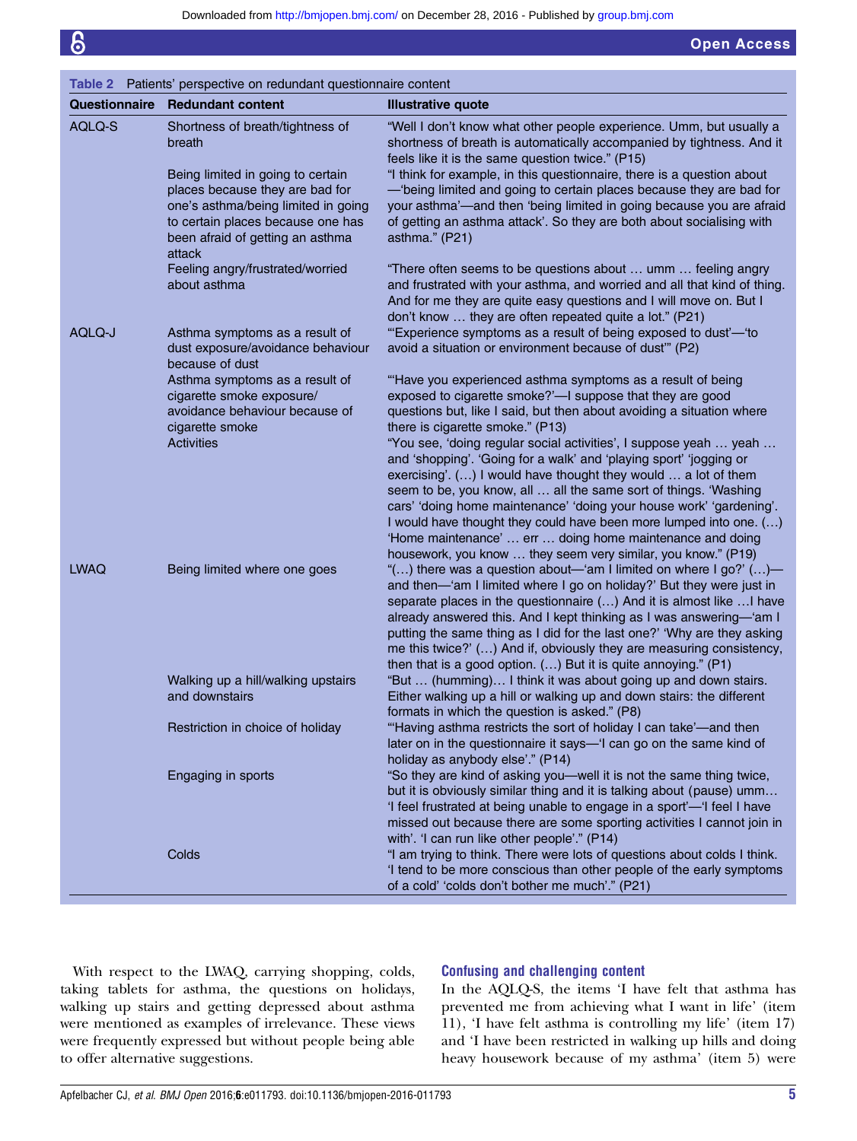<span id="page-4-0"></span>

| <b>Questionnaire</b> | <b>Redundant content</b>                                                                                                                                                             | <b>Illustrative quote</b>                                                                                                                                                                                                                                                                                                                                                                                                                                                                                     |
|----------------------|--------------------------------------------------------------------------------------------------------------------------------------------------------------------------------------|---------------------------------------------------------------------------------------------------------------------------------------------------------------------------------------------------------------------------------------------------------------------------------------------------------------------------------------------------------------------------------------------------------------------------------------------------------------------------------------------------------------|
| AQLQ-S               | Shortness of breath/tightness of<br>breath                                                                                                                                           | "Well I don't know what other people experience. Umm, but usually a<br>shortness of breath is automatically accompanied by tightness. And it<br>feels like it is the same question twice." (P15)                                                                                                                                                                                                                                                                                                              |
|                      | Being limited in going to certain<br>places because they are bad for<br>one's asthma/being limited in going<br>to certain places because one has<br>been afraid of getting an asthma | "I think for example, in this questionnaire, there is a question about<br>- 'being limited and going to certain places because they are bad for<br>your asthma'-and then 'being limited in going because you are afraid<br>of getting an asthma attack'. So they are both about socialising with<br>asthma." (P21)                                                                                                                                                                                            |
|                      | attack                                                                                                                                                                               |                                                                                                                                                                                                                                                                                                                                                                                                                                                                                                               |
|                      | Feeling angry/frustrated/worried<br>about asthma                                                                                                                                     | "There often seems to be questions about  umm  feeling angry<br>and frustrated with your asthma, and worried and all that kind of thing.<br>And for me they are quite easy questions and I will move on. But I<br>don't know  they are often repeated quite a lot." (P21)                                                                                                                                                                                                                                     |
| AQLQ-J               | Asthma symptoms as a result of<br>dust exposure/avoidance behaviour<br>because of dust                                                                                               | "Experience symptoms as a result of being exposed to dust'-'to<br>avoid a situation or environment because of dust" (P2)                                                                                                                                                                                                                                                                                                                                                                                      |
|                      | Asthma symptoms as a result of                                                                                                                                                       | "Have you experienced asthma symptoms as a result of being                                                                                                                                                                                                                                                                                                                                                                                                                                                    |
|                      | cigarette smoke exposure/<br>avoidance behaviour because of                                                                                                                          | exposed to cigarette smoke?'-I suppose that they are good<br>questions but, like I said, but then about avoiding a situation where                                                                                                                                                                                                                                                                                                                                                                            |
|                      | cigarette smoke                                                                                                                                                                      | there is cigarette smoke." (P13)                                                                                                                                                                                                                                                                                                                                                                                                                                                                              |
|                      | <b>Activities</b>                                                                                                                                                                    | "You see, 'doing regular social activities', I suppose yeah  yeah<br>and 'shopping'. 'Going for a walk' and 'playing sport' 'jogging or<br>exercising'. () I would have thought they would  a lot of them                                                                                                                                                                                                                                                                                                     |
|                      |                                                                                                                                                                                      | seem to be, you know, all  all the same sort of things. 'Washing<br>cars' 'doing home maintenance' 'doing your house work' 'gardening'.<br>I would have thought they could have been more lumped into one. ()<br>'Home maintenance'  err  doing home maintenance and doing<br>housework, you know  they seem very similar, you know." (P19)                                                                                                                                                                   |
| <b>LWAQ</b>          | Being limited where one goes                                                                                                                                                         | "() there was a question about—'am I limited on where I go?' ()—<br>and then-'am I limited where I go on holiday?' But they were just in<br>separate places in the questionnaire () And it is almost like  I have<br>already answered this. And I kept thinking as I was answering-'am I<br>putting the same thing as I did for the last one?' 'Why are they asking<br>me this twice?' () And if, obviously they are measuring consistency,<br>then that is a good option. () But it is quite annoying." (P1) |
|                      | Walking up a hill/walking upstairs<br>and downstairs                                                                                                                                 | "But  (humming) I think it was about going up and down stairs.<br>Either walking up a hill or walking up and down stairs: the different<br>formats in which the question is asked." (P8)                                                                                                                                                                                                                                                                                                                      |
|                      | Restriction in choice of holiday                                                                                                                                                     | "Having asthma restricts the sort of holiday I can take'—and then<br>later on in the questionnaire it says-'I can go on the same kind of<br>holiday as anybody else'." (P14)                                                                                                                                                                                                                                                                                                                                  |
|                      | Engaging in sports                                                                                                                                                                   | "So they are kind of asking you-well it is not the same thing twice,<br>but it is obviously similar thing and it is talking about (pause) umm<br>'I feel frustrated at being unable to engage in a sport'-'I feel I have<br>missed out because there are some sporting activities I cannot join in<br>with'. 'I can run like other people'." (P14)                                                                                                                                                            |
|                      | Colds                                                                                                                                                                                | "I am trying to think. There were lots of questions about colds I think.<br>'I tend to be more conscious than other people of the early symptoms<br>of a cold' 'colds don't bother me much'." (P21)                                                                                                                                                                                                                                                                                                           |

With respect to the LWAQ, carrying shopping, colds, taking tablets for asthma, the questions on holidays, walking up stairs and getting depressed about asthma were mentioned as examples of irrelevance. These views were frequently expressed but without people being able to offer alternative suggestions.

# Confusing and challenging content

In the AQLQ-S, the items 'I have felt that asthma has prevented me from achieving what I want in life' (item 11), 'I have felt asthma is controlling my life' (item 17) and 'I have been restricted in walking up hills and doing heavy housework because of my asthma' (item 5) were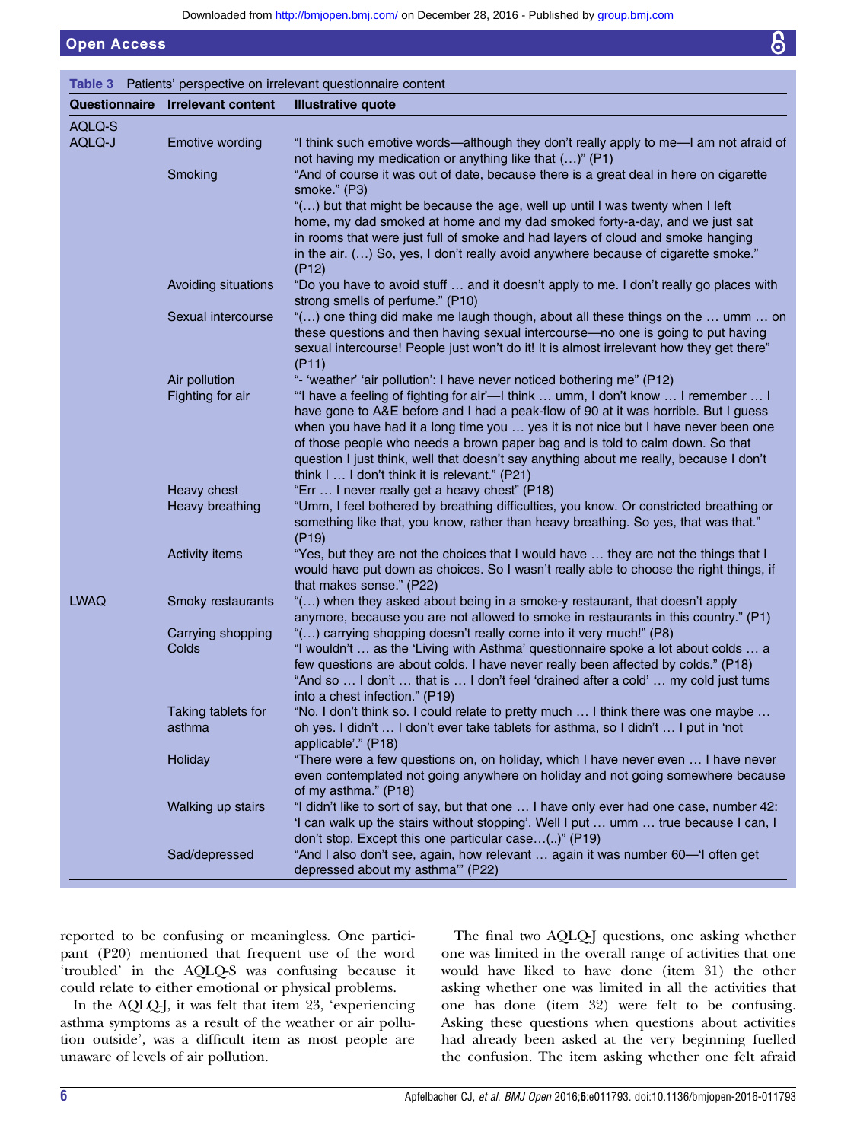<span id="page-5-0"></span>Open Access

| Patients' perspective on irrelevant questionnaire content<br>Table 3 |                                |                                                                                                                                                                                                                                                                                                                                                                      |  |  |  |
|----------------------------------------------------------------------|--------------------------------|----------------------------------------------------------------------------------------------------------------------------------------------------------------------------------------------------------------------------------------------------------------------------------------------------------------------------------------------------------------------|--|--|--|
| <b>Questionnaire</b>                                                 | <b>Irrelevant content</b>      | <b>Illustrative quote</b>                                                                                                                                                                                                                                                                                                                                            |  |  |  |
| AQLQ-S                                                               |                                |                                                                                                                                                                                                                                                                                                                                                                      |  |  |  |
| AQLQ-J                                                               | <b>Emotive wording</b>         | "I think such emotive words—although they don't really apply to me—I am not afraid of<br>not having my medication or anything like that ()" (P1)                                                                                                                                                                                                                     |  |  |  |
|                                                                      | Smoking                        | "And of course it was out of date, because there is a great deal in here on cigarette<br>smoke." (P3)<br>"() but that might be because the age, well up until I was twenty when I left<br>home, my dad smoked at home and my dad smoked forty-a-day, and we just sat                                                                                                 |  |  |  |
|                                                                      |                                | in rooms that were just full of smoke and had layers of cloud and smoke hanging<br>in the air. () So, yes, I don't really avoid anywhere because of cigarette smoke."<br>(P12)                                                                                                                                                                                       |  |  |  |
|                                                                      | Avoiding situations            | "Do you have to avoid stuff  and it doesn't apply to me. I don't really go places with<br>strong smells of perfume." (P10)                                                                                                                                                                                                                                           |  |  |  |
|                                                                      | Sexual intercourse             | "() one thing did make me laugh though, about all these things on the  umm  on<br>these questions and then having sexual intercourse-no one is going to put having<br>sexual intercourse! People just won't do it! It is almost irrelevant how they get there"<br>(P11)                                                                                              |  |  |  |
|                                                                      | Air pollution                  | "- 'weather' 'air pollution': I have never noticed bothering me" (P12)                                                                                                                                                                                                                                                                                               |  |  |  |
|                                                                      | Fighting for air               | "I have a feeling of fighting for air'-I think  umm, I don't know  I remember  I<br>have gone to A&E before and I had a peak-flow of 90 at it was horrible. But I guess<br>when you have had it a long time you  yes it is not nice but I have never been one                                                                                                        |  |  |  |
|                                                                      |                                | of those people who needs a brown paper bag and is told to calm down. So that<br>question I just think, well that doesn't say anything about me really, because I don't<br>think I  I don't think it is relevant." (P21)                                                                                                                                             |  |  |  |
|                                                                      | Heavy chest<br>Heavy breathing | "Err  I never really get a heavy chest" (P18)<br>"Umm, I feel bothered by breathing difficulties, you know. Or constricted breathing or<br>something like that, you know, rather than heavy breathing. So yes, that was that."<br>(P19)                                                                                                                              |  |  |  |
|                                                                      | <b>Activity items</b>          | "Yes, but they are not the choices that I would have  they are not the things that I<br>would have put down as choices. So I wasn't really able to choose the right things, if<br>that makes sense." (P22)                                                                                                                                                           |  |  |  |
| <b>LWAQ</b>                                                          | Smoky restaurants              | "() when they asked about being in a smoke-y restaurant, that doesn't apply<br>anymore, because you are not allowed to smoke in restaurants in this country." (P1)                                                                                                                                                                                                   |  |  |  |
|                                                                      | Carrying shopping<br>Colds     | "() carrying shopping doesn't really come into it very much!" (P8)<br>"I wouldn't  as the 'Living with Asthma' questionnaire spoke a lot about colds  a<br>few questions are about colds. I have never really been affected by colds." (P18)<br>"And so  I don't  that is  I don't feel 'drained after a cold'  my cold just turns<br>into a chest infection." (P19) |  |  |  |
|                                                                      | Taking tablets for<br>asthma   | "No. I don't think so. I could relate to pretty much  I think there was one maybe<br>oh yes. I didn't  I don't ever take tablets for asthma, so I didn't  I put in 'not<br>applicable'." (P18)                                                                                                                                                                       |  |  |  |
|                                                                      | <b>Holiday</b>                 | "There were a few questions on, on holiday, which I have never even  I have never<br>even contemplated not going anywhere on holiday and not going somewhere because<br>of my asthma." (P18)                                                                                                                                                                         |  |  |  |
|                                                                      | Walking up stairs              | "I didn't like to sort of say, but that one  I have only ever had one case, number 42:<br>'I can walk up the stairs without stopping'. Well I put  umm  true because I can, I<br>don't stop. Except this one particular case()" (P19)                                                                                                                                |  |  |  |
|                                                                      | Sad/depressed                  | "And I also don't see, again, how relevant  again it was number 60-'l often get<br>depressed about my asthma" (P22)                                                                                                                                                                                                                                                  |  |  |  |

reported to be confusing or meaningless. One participant (P20) mentioned that frequent use of the word 'troubled' in the AQLQ-S was confusing because it could relate to either emotional or physical problems.

In the AQLQ-J, it was felt that item 23, 'experiencing asthma symptoms as a result of the weather or air pollution outside', was a difficult item as most people are unaware of levels of air pollution.

The final two AQLQ-J questions, one asking whether one was limited in the overall range of activities that one would have liked to have done (item 31) the other asking whether one was limited in all the activities that one has done (item 32) were felt to be confusing. Asking these questions when questions about activities had already been asked at the very beginning fuelled the confusion. The item asking whether one felt afraid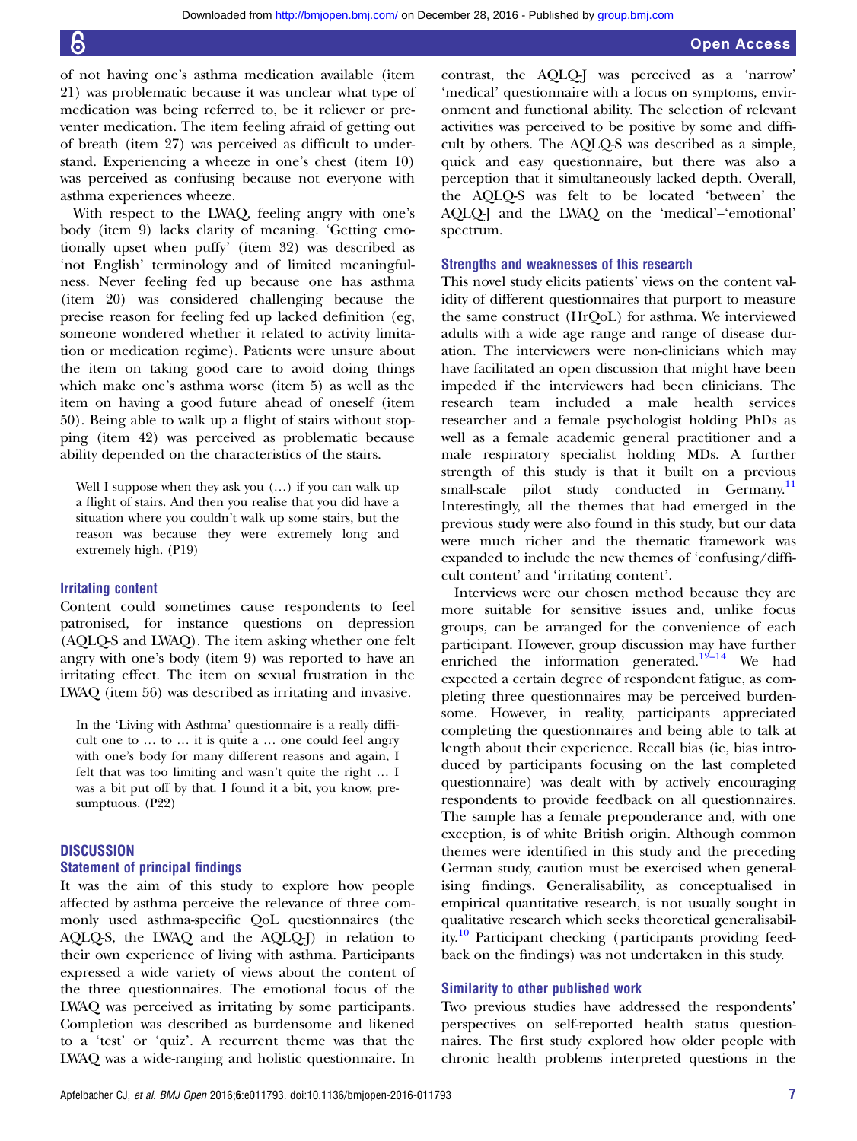of not having one's asthma medication available (item 21) was problematic because it was unclear what type of medication was being referred to, be it reliever or preventer medication. The item feeling afraid of getting out of breath (item 27) was perceived as difficult to understand. Experiencing a wheeze in one's chest (item 10) was perceived as confusing because not everyone with asthma experiences wheeze.

With respect to the LWAQ, feeling angry with one's body (item 9) lacks clarity of meaning. 'Getting emotionally upset when puffy' (item 32) was described as 'not English' terminology and of limited meaningfulness. Never feeling fed up because one has asthma (item 20) was considered challenging because the precise reason for feeling fed up lacked definition (eg, someone wondered whether it related to activity limitation or medication regime). Patients were unsure about the item on taking good care to avoid doing things which make one's asthma worse (item 5) as well as the item on having a good future ahead of oneself (item 50). Being able to walk up a flight of stairs without stopping (item 42) was perceived as problematic because ability depended on the characteristics of the stairs.

Well I suppose when they ask you (...) if you can walk up a flight of stairs. And then you realise that you did have a situation where you couldn't walk up some stairs, but the reason was because they were extremely long and extremely high. (P19)

### Irritating content

Content could sometimes cause respondents to feel patronised, for instance questions on depression (AQLQ-S and LWAQ). The item asking whether one felt angry with one's body (item 9) was reported to have an irritating effect. The item on sexual frustration in the LWAQ (item 56) was described as irritating and invasive.

In the 'Living with Asthma' questionnaire is a really difficult one to … to … it is quite a … one could feel angry with one's body for many different reasons and again, I felt that was too limiting and wasn't quite the right … I was a bit put off by that. I found it a bit, you know, presumptuous. (P22)

# **DISCUSSION** Statement of principal findings

It was the aim of this study to explore how people affected by asthma perceive the relevance of three commonly used asthma-specific QoL questionnaires (the AQLQ-S, the LWAQ and the AQLQ-J) in relation to their own experience of living with asthma. Participants expressed a wide variety of views about the content of the three questionnaires. The emotional focus of the LWAQ was perceived as irritating by some participants. Completion was described as burdensome and likened to a 'test' or 'quiz'. A recurrent theme was that the LWAQ was a wide-ranging and holistic questionnaire. In

contrast, the AQLQ-J was perceived as a 'narrow' 'medical' questionnaire with a focus on symptoms, environment and functional ability. The selection of relevant activities was perceived to be positive by some and difficult by others. The AQLQ-S was described as a simple, quick and easy questionnaire, but there was also a perception that it simultaneously lacked depth. Overall, the AQLQ-S was felt to be located 'between' the AQLQ-J and the LWAQ on the 'medical'–'emotional' spectrum.

### Strengths and weaknesses of this research

This novel study elicits patients' views on the content validity of different questionnaires that purport to measure the same construct (HrQoL) for asthma. We interviewed adults with a wide age range and range of disease duration. The interviewers were non-clinicians which may have facilitated an open discussion that might have been impeded if the interviewers had been clinicians. The research team included a male health services researcher and a female psychologist holding PhDs as well as a female academic general practitioner and a male respiratory specialist holding MDs. A further strength of this study is that it built on a previous small-scale pilot study conducted in Germany.<sup>[11](#page-7-0)</sup> Interestingly, all the themes that had emerged in the previous study were also found in this study, but our data were much richer and the thematic framework was expanded to include the new themes of 'confusing/difficult content' and 'irritating content'.

Interviews were our chosen method because they are more suitable for sensitive issues and, unlike focus groups, can be arranged for the convenience of each participant. However, group discussion may have further enriched the information generated.<sup>12-[14](#page-8-0)</sup> We had expected a certain degree of respondent fatigue, as completing three questionnaires may be perceived burdensome. However, in reality, participants appreciated completing the questionnaires and being able to talk at length about their experience. Recall bias (ie, bias introduced by participants focusing on the last completed questionnaire) was dealt with by actively encouraging respondents to provide feedback on all questionnaires. The sample has a female preponderance and, with one exception, is of white British origin. Although common themes were identified in this study and the preceding German study, caution must be exercised when generalising findings. Generalisability, as conceptualised in empirical quantitative research, is not usually sought in qualitative research which seeks theoretical generalisabil-ity.<sup>[10](#page-7-0)</sup> Participant checking (participants providing feedback on the findings) was not undertaken in this study.

#### Similarity to other published work

Two previous studies have addressed the respondents' perspectives on self-reported health status questionnaires. The first study explored how older people with chronic health problems interpreted questions in the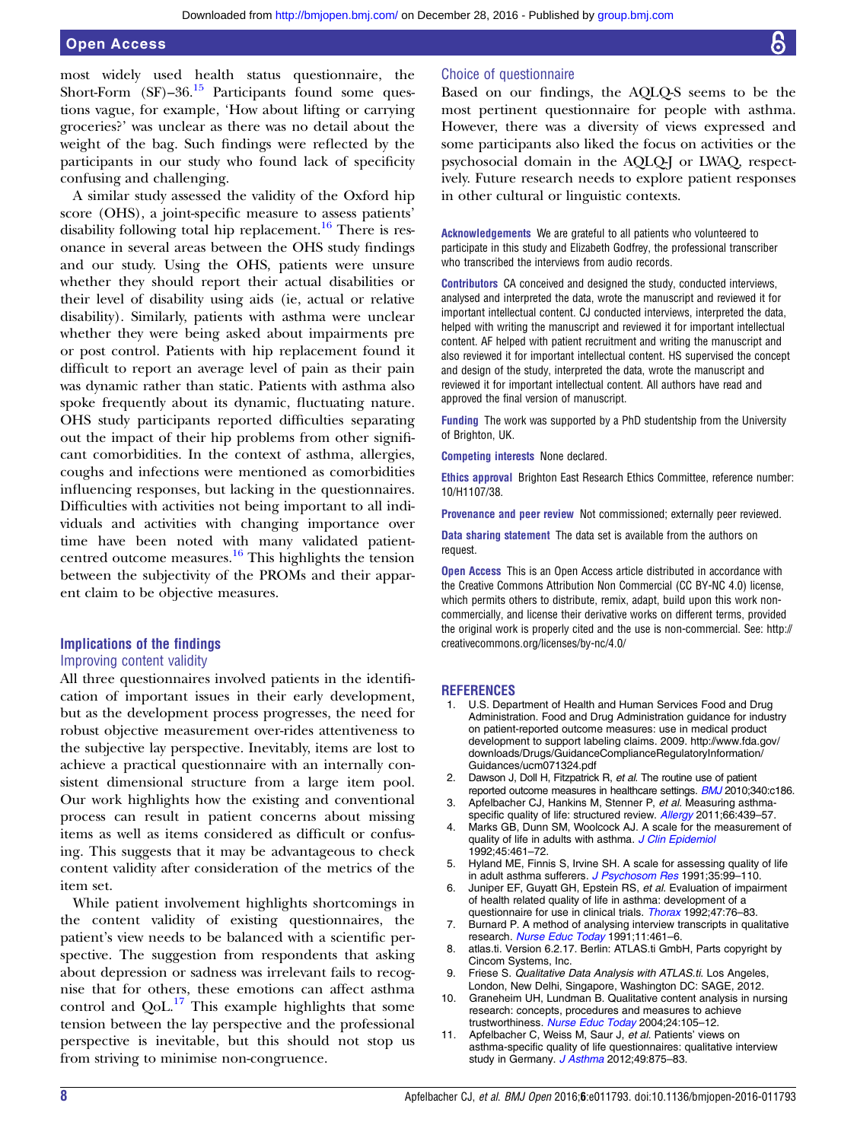<span id="page-7-0"></span>most widely used health status questionnaire, the Short-Form  $(SF)$ –36.<sup>15</sup> Participants found some questions vague, for example, 'How about lifting or carrying groceries?' was unclear as there was no detail about the weight of the bag. Such findings were reflected by the participants in our study who found lack of specificity confusing and challenging.

A similar study assessed the validity of the Oxford hip score (OHS), a joint-specific measure to assess patients' disability following total hip replacement.<sup>[16](#page-8-0)</sup> There is resonance in several areas between the OHS study findings and our study. Using the OHS, patients were unsure whether they should report their actual disabilities or their level of disability using aids (ie, actual or relative disability). Similarly, patients with asthma were unclear whether they were being asked about impairments pre or post control. Patients with hip replacement found it difficult to report an average level of pain as their pain was dynamic rather than static. Patients with asthma also spoke frequently about its dynamic, fluctuating nature. OHS study participants reported difficulties separating out the impact of their hip problems from other significant comorbidities. In the context of asthma, allergies, coughs and infections were mentioned as comorbidities influencing responses, but lacking in the questionnaires. Difficulties with activities not being important to all individuals and activities with changing importance over time have been noted with many validated patientcentred outcome measures. $16$  This highlights the tension between the subjectivity of the PROMs and their apparent claim to be objective measures.

#### Implications of the findings

#### Improving content validity

All three questionnaires involved patients in the identification of important issues in their early development, but as the development process progresses, the need for robust objective measurement over-rides attentiveness to the subjective lay perspective. Inevitably, items are lost to achieve a practical questionnaire with an internally consistent dimensional structure from a large item pool. Our work highlights how the existing and conventional process can result in patient concerns about missing items as well as items considered as difficult or confusing. This suggests that it may be advantageous to check content validity after consideration of the metrics of the item set.

While patient involvement highlights shortcomings in the content validity of existing questionnaires, the patient's view needs to be balanced with a scientific perspective. The suggestion from respondents that asking about depression or sadness was irrelevant fails to recognise that for others, these emotions can affect asthma control and  $QoL$ .<sup>[17](#page-8-0)</sup> This example highlights that some tension between the lay perspective and the professional perspective is inevitable, but this should not stop us from striving to minimise non-congruence.

#### Choice of questionnaire

Based on our findings, the AQLQ-S seems to be the most pertinent questionnaire for people with asthma. However, there was a diversity of views expressed and some participants also liked the focus on activities or the psychosocial domain in the AQLQ-J or LWAQ, respectively. Future research needs to explore patient responses in other cultural or linguistic contexts.

Acknowledgements We are grateful to all patients who volunteered to participate in this study and Elizabeth Godfrey, the professional transcriber who transcribed the interviews from audio records.

Contributors CA conceived and designed the study, conducted interviews, analysed and interpreted the data, wrote the manuscript and reviewed it for important intellectual content. CJ conducted interviews, interpreted the data, helped with writing the manuscript and reviewed it for important intellectual content. AF helped with patient recruitment and writing the manuscript and also reviewed it for important intellectual content. HS supervised the concept and design of the study, interpreted the data, wrote the manuscript and reviewed it for important intellectual content. All authors have read and approved the final version of manuscript.

Funding The work was supported by a PhD studentship from the University of Brighton, UK.

Competing interests None declared.

Ethics approval Brighton East Research Ethics Committee, reference number: 10/H1107/38.

Provenance and peer review Not commissioned; externally peer reviewed.

Data sharing statement The data set is available from the authors on request.

**Open Access** This is an Open Access article distributed in accordance with the Creative Commons Attribution Non Commercial (CC BY-NC 4.0) license, which permits others to distribute, remix, adapt, build upon this work noncommercially, and license their derivative works on different terms, provided the original work is properly cited and the use is non-commercial. See: [http://](http://creativecommons.org/licenses/by-nc/4.0/) [creativecommons.org/licenses/by-nc/4.0/](http://creativecommons.org/licenses/by-nc/4.0/)

#### REFERENCES

- 1. U.S. Department of Health and Human Services Food and Drug Administration. Food and Drug Administration guidance for industry on patient-reported outcome measures: use in medical product development to support labeling claims. 2009. [http://www.fda.gov/](http://www.fda.gov/downloads/Drugs/GuidanceComplianceRegulatoryInformation/Guidances/ucm071324.pdf) [downloads/Drugs/GuidanceComplianceRegulatoryInformation/](http://www.fda.gov/downloads/Drugs/GuidanceComplianceRegulatoryInformation/Guidances/ucm071324.pdf) [Guidances/ucm071324.pdf](http://www.fda.gov/downloads/Drugs/GuidanceComplianceRegulatoryInformation/Guidances/ucm071324.pdf)
- 2. Dawson J, Doll H, Fitzpatrick R, et al. The routine use of patient reported outcome measures in healthcare settings. **[BMJ](http://dx.doi.org/10.1136/bmj.c186)** 2010;340:c186.
- Apfelbacher CJ, Hankins M, Stenner P, et al. Measuring asthma-specific quality of life: structured review. [Allergy](http://dx.doi.org/10.1111/j.1398-9995.2010.02500.x) 2011;66:439-57.
- 4. Marks GB, Dunn SM, Woolcock AJ. A scale for the measurement of quality of life in adults with asthma. [J Clin Epidemiol](http://dx.doi.org/10.1016/0895-4356(92)90095-5) 1992;45:461–72.
- 5. Hyland ME, Finnis S, Irvine SH. A scale for assessing quality of life in adult asthma sufferers. [J Psychosom Res](http://dx.doi.org/10.1016/0022-3999(91)90011-C) 1991;35:99-110.
- Juniper EF, Guyatt GH, Epstein RS, et al. Evaluation of impairment of health related quality of life in asthma: development of a questionnaire for use in clinical trials. [Thorax](http://dx.doi.org/10.1136/thx.47.2.76) 1992;47:76-83
- 7. Burnard P. A method of analysing interview transcripts in qualitative research. [Nurse Educ Today](http://dx.doi.org/10.1016/0260-6917(91)90009-Y) 1991;11:461-6.
- 8. atlas.ti. Version 6.2.17. Berlin: ATLAS.ti GmbH, Parts copyright by Cincom Systems, Inc.
- 9. Friese S. Qualitative Data Analysis with ATLAS.ti. Los Angeles, London, New Delhi, Singapore, Washington DC: SAGE, 2012.
- 10. Graneheim UH, Lundman B. Qualitative content analysis in nursing research: concepts, procedures and measures to achieve trustworthiness. [Nurse Educ Today](http://dx.doi.org/10.1016/j.nedt.2003.10.001) 2004;24:105-12.
- 11. Apfelbacher C, Weiss M, Saur J, et al. Patients' views on asthma-specific quality of life questionnaires: qualitative interview study in Germany. [J Asthma](http://dx.doi.org/10.3109/02770903.2012.713427) 2012;49:875-83.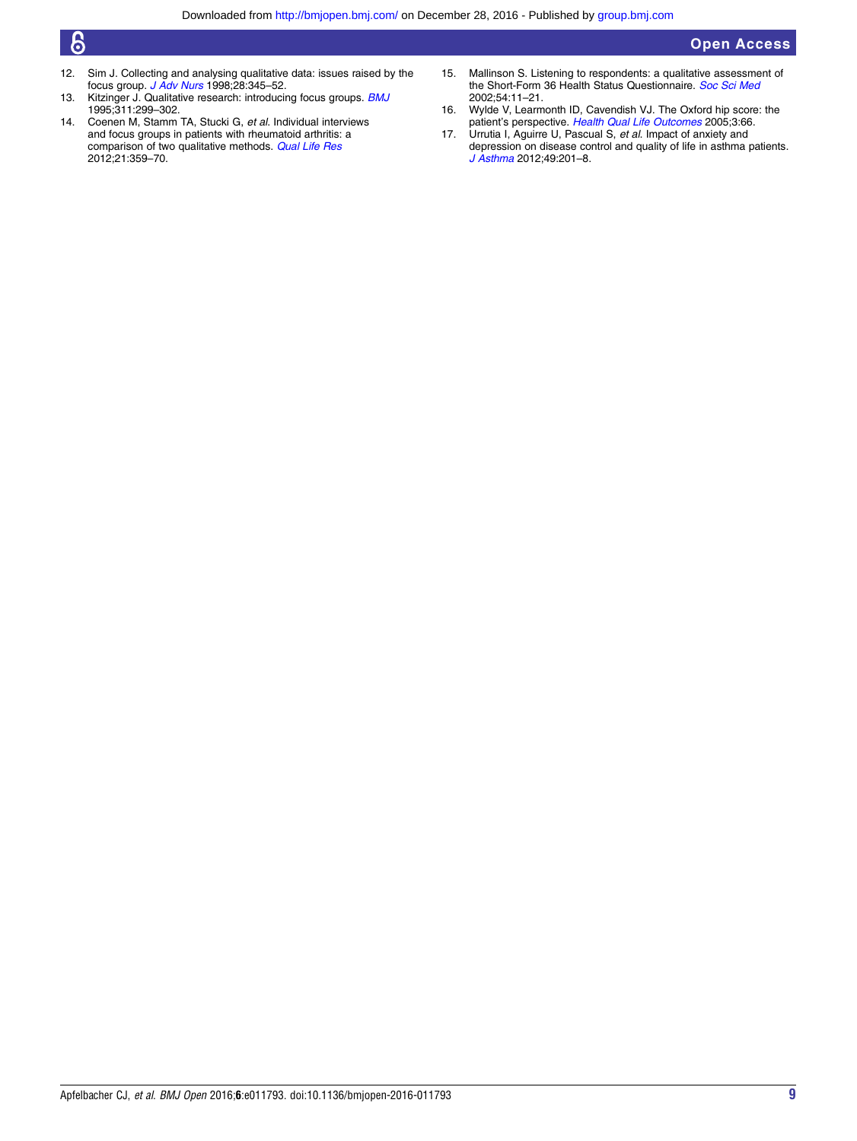# Open Access

# <span id="page-8-0"></span> $\delta$

- 12. Sim J. Collecting and analysing qualitative data: issues raised by the focus group. [J Adv Nurs](http://dx.doi.org/10.1046/j.1365-2648.1998.00692.x) 1998;28:345-52.
- 13. Kitzinger J. Qualitative research: introducing focus groups. [BMJ](http://dx.doi.org/10.1136/bmj.311.7000.299) 1995;311:299–302.
- 14. Coenen M, Stamm TA, Stucki G, et al. Individual interviews and focus groups in patients with rheumatoid arthritis: a comparison of two qualitative methods. [Qual Life Res](http://dx.doi.org/10.1007/s11136-011-9943-2) 2012;21:359–70.
- 15. Mallinson S. Listening to respondents: a qualitative assessment of the Short-Form 36 Health Status Questionnaire. [Soc Sci Med](http://dx.doi.org/10.1016/S0277-9536(01)00003-X) 2002;54:11–21.
- 16. Wylde V, Learmonth ID, Cavendish VJ. The Oxford hip score: the patient's perspective. [Health Qual Life Outcomes](http://dx.doi.org/10.1186/1477-7525-3-66) 2005;3:66.
- 17. Urrutia I, Aguirre U, Pascual S, et al. Impact of anxiety and depression on disease control and quality of life in asthma patients. [J Asthma](http://dx.doi.org/10.3109/02770903.2011.654022) 2012;49:201–8.